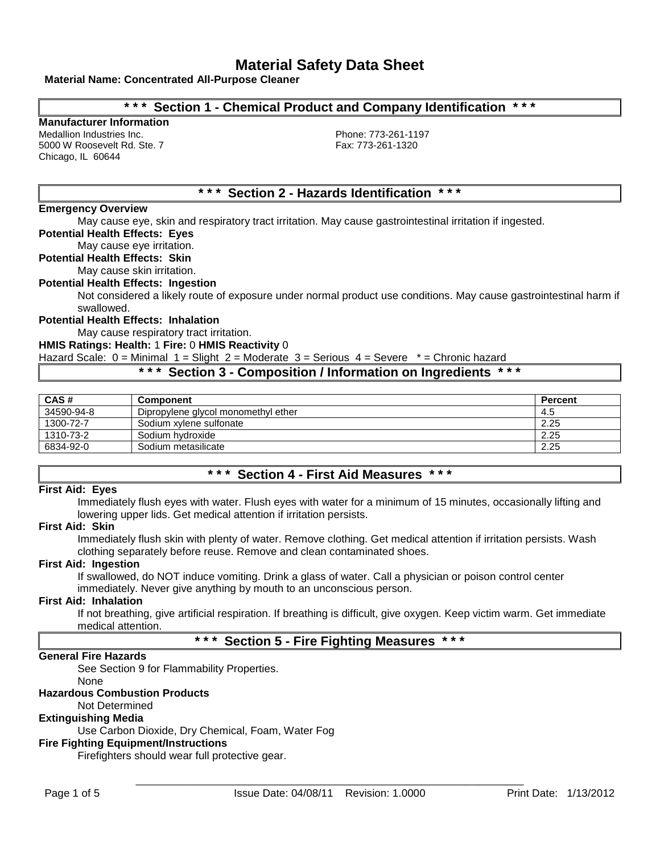## **Material Name: Concentrated All-Purpose Cleaner**

## **\* \* \* Section 1 - Chemical Product and Company Identification \* \* \***

# **Manufacturer Information**

Medallion Industries Inc.<br>
5000 W Roosevelt Rd. Ste. 7 and Phone: 773-261-1197<br>
Fax: 773-261-1320 5000 W Roosevelt Rd. Ste. 7 Chicago, IL 60644

## **\* \* \* Section 2 - Hazards Identification \* \* \***

## **Emergency Overview**

May cause eye, skin and respiratory tract irritation. May cause gastrointestinal irritation if ingested.

**Potential Health Effects: Eyes**

## May cause eye irritation.

**Potential Health Effects: Skin**

May cause skin irritation.

**Potential Health Effects: Ingestion**

Not considered a likely route of exposure under normal product use conditions. May cause gastrointestinal harm if swallowed.

## **Potential Health Effects: Inhalation**

May cause respiratory tract irritation.

### **HMIS Ratings: Health:** 1 **Fire:** 0 **HMIS Reactivity** 0

Hazard Scale:  $0 =$  Minimal  $1 =$  Slight  $2 =$  Moderate  $3 =$  Serious  $4 =$  Severe  $* =$  Chronic hazard

## **\* \* \* Section 3 - Composition / Information on Ingredients \* \* \***

| CAS#       | <b>Component</b>                    | <b>Percent</b> |
|------------|-------------------------------------|----------------|
| 34590-94-8 | Dipropylene glycol monomethyl ether | 4.5            |
| 1300-72-7  | Sodium xvlene sulfonate             | 2.25           |
| 1310-73-2  | Sodium hvdroxide                    | 2.25           |
| 6834-92-0  | Sodium metasilicate                 | 2.25           |

## **\* \* \* Section 4 - First Aid Measures \* \* \***

#### **First Aid: Eyes**

Immediately flush eyes with water. Flush eyes with water for a minimum of 15 minutes, occasionally lifting and lowering upper lids. Get medical attention if irritation persists.

## **First Aid: Skin**

Immediately flush skin with plenty of water. Remove clothing. Get medical attention if irritation persists. Wash clothing separately before reuse. Remove and clean contaminated shoes.

## **First Aid: Ingestion**

If swallowed, do NOT induce vomiting. Drink a glass of water. Call a physician or poison control center immediately. Never give anything by mouth to an unconscious person.

### **First Aid: Inhalation**

If not breathing, give artificial respiration. If breathing is difficult, give oxygen. Keep victim warm. Get immediate medical attention.

## **\* \* \* Section 5 - Fire Fighting Measures \* \* \***

## **General Fire Hazards**

See Section 9 for Flammability Properties.

None

## **Hazardous Combustion Products**

Not Determined

## **Extinguishing Media**

Use Carbon Dioxide, Dry Chemical, Foam, Water Fog

## **Fire Fighting Equipment/Instructions**

Firefighters should wear full protective gear.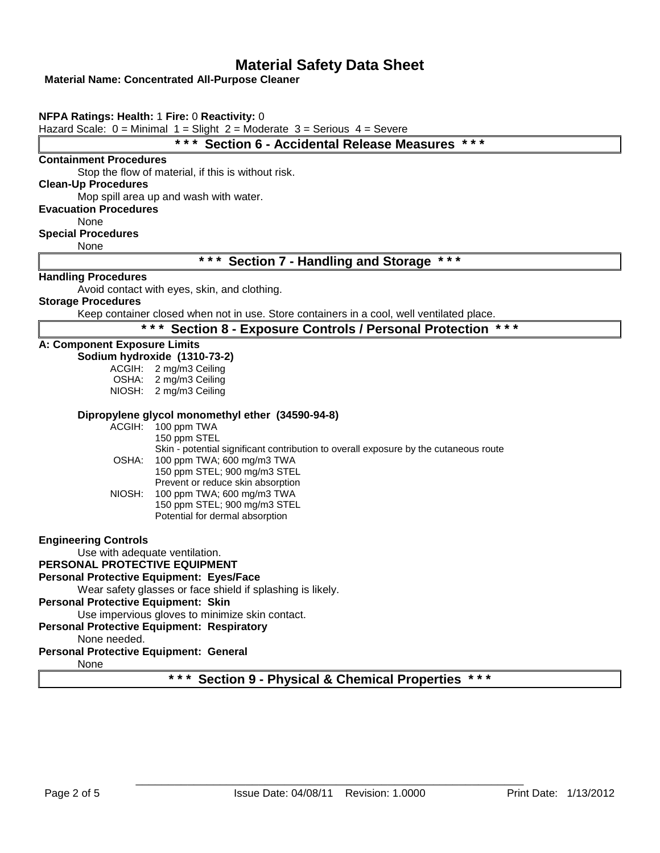## **Material Name: Concentrated All-Purpose Cleaner**

|                                            | $***$<br>* * *<br><b>Section 6 - Accidental Release Measures</b>                          |
|--------------------------------------------|-------------------------------------------------------------------------------------------|
| <b>Containment Procedures</b>              |                                                                                           |
|                                            | Stop the flow of material, if this is without risk.                                       |
| <b>Clean-Up Procedures</b>                 |                                                                                           |
|                                            | Mop spill area up and wash with water.                                                    |
| <b>Evacuation Procedures</b>               |                                                                                           |
| None                                       |                                                                                           |
| <b>Special Procedures</b><br>None          |                                                                                           |
|                                            | * * *<br>$***$<br><b>Section 7 - Handling and Storage</b>                                 |
| <b>Handling Procedures</b>                 |                                                                                           |
|                                            | Avoid contact with eyes, skin, and clothing.                                              |
| <b>Storage Procedures</b>                  |                                                                                           |
|                                            | Keep container closed when not in use. Store containers in a cool, well ventilated place. |
|                                            | * * *<br>* * *<br><b>Section 8 - Exposure Controls / Personal Protection</b>              |
| A: Component Exposure Limits               |                                                                                           |
|                                            | Sodium hydroxide (1310-73-2)                                                              |
|                                            | ACGIH: 2 mg/m3 Ceiling                                                                    |
|                                            | OSHA: 2 mg/m3 Ceiling<br>NIOSH: 2 mg/m3 Ceiling                                           |
|                                            |                                                                                           |
|                                            | Dipropylene glycol monomethyl ether (34590-94-8)                                          |
|                                            | ACGIH: 100 ppm TWA                                                                        |
|                                            | 150 ppm STEL                                                                              |
|                                            | Skin - potential significant contribution to overall exposure by the cutaneous route      |
| OSHA:                                      | 100 ppm TWA; 600 mg/m3 TWA<br>150 ppm STEL; 900 mg/m3 STEL                                |
|                                            | Prevent or reduce skin absorption                                                         |
| NIOSH:                                     | 100 ppm TWA; 600 mg/m3 TWA                                                                |
|                                            | 150 ppm STEL; 900 mg/m3 STEL                                                              |
|                                            | Potential for dermal absorption                                                           |
| <b>Engineering Controls</b>                |                                                                                           |
|                                            | Use with adequate ventilation.                                                            |
| PERSONAL PROTECTIVE EQUIPMENT              |                                                                                           |
|                                            | Personal Protective Equipment: Eyes/Face                                                  |
|                                            | Wear safety glasses or face shield if splashing is likely.                                |
| <b>Personal Protective Equipment: Skin</b> |                                                                                           |
|                                            | Use impervious gloves to minimize skin contact.                                           |
|                                            | <b>Personal Protective Equipment: Respiratory</b>                                         |
| None needed.                               |                                                                                           |
| Personal Protective Equipment: General     |                                                                                           |
| None                                       | $\star$ $\star$ $\star$<br>* * *                                                          |
|                                            | <b>Section 9 - Physical &amp; Chemical Properties</b>                                     |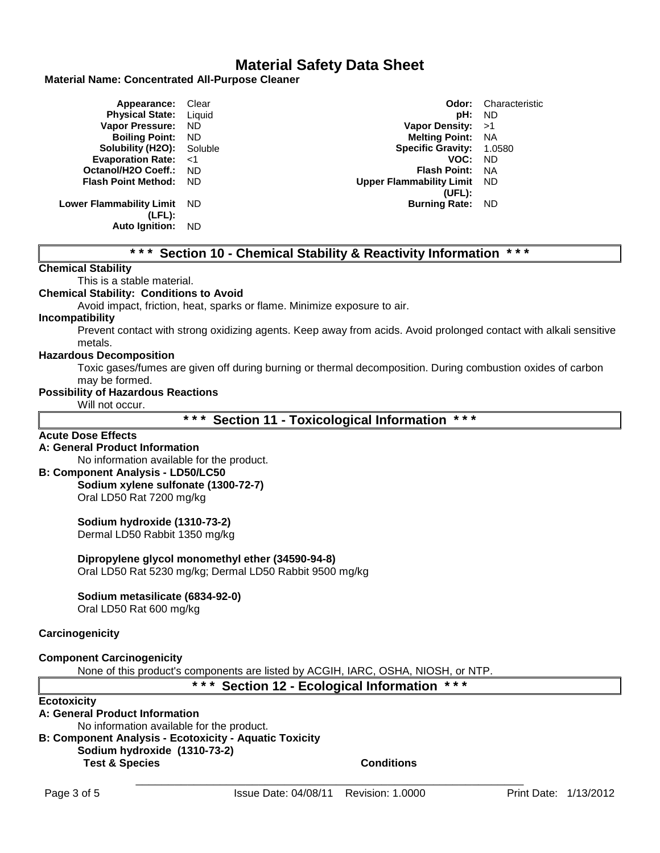## **Material Name: Concentrated All-Purpose Cleaner**

| <b>Appearance:</b> Clear         |           | Odor:                           | Characteristic |
|----------------------------------|-----------|---------------------------------|----------------|
| <b>Physical State:</b> Liquid    |           | pH: ND                          |                |
| <b>Vapor Pressure:</b>           | <b>ND</b> | Vapor Density: $>1$             |                |
| <b>Boiling Point:</b>            | - ND      | <b>Melting Point: NA</b>        |                |
| <b>Solubility (H2O):</b> Soluble |           | Specific Gravity: 1.0580        |                |
| Evaporation Rate: <1             |           | VOC:                            | ND.            |
| Octanol/H2O Coeff.:              | - ND      | <b>Flash Point:</b>             | - NA           |
| <b>Flash Point Method:</b>       | - ND      | <b>Upper Flammability Limit</b> | - ND           |
|                                  |           | (UFL):                          |                |
| Lower Flammability Limit ND      |           | <b>Burning Rate:</b>            | - ND           |
| $(LFL)$ :                        |           |                                 |                |
| <b>Auto Ignition:</b>            | ND.       |                                 |                |

## **\* \* \* Section 10 - Chemical Stability & Reactivity Information \* \* \***

## **Chemical Stability**

## This is a stable material.

### **Chemical Stability: Conditions to Avoid**

Avoid impact, friction, heat, sparks or flame. Minimize exposure to air.

#### **Incompatibility**

Prevent contact with strong oxidizing agents. Keep away from acids. Avoid prolonged contact with alkali sensitive metals.

## **Hazardous Decomposition**

Toxic gases/fumes are given off during burning or thermal decomposition. During combustion oxides of carbon may be formed.

## **Possibility of Hazardous Reactions**

Will not occur.

**\* \* \* Section 11 - Toxicological Information \* \* \***

## **Acute Dose Effects**

## **A: General Product Information**

No information available for the product.

## **B: Component Analysis - LD50/LC50**

**Sodium xylene sulfonate (1300-72-7)** Oral LD50 Rat 7200 mg/kg

**Sodium hydroxide (1310-73-2)** Dermal LD50 Rabbit 1350 mg/kg

**Dipropylene glycol monomethyl ether (34590-94-8)**

Oral LD50 Rat 5230 mg/kg; Dermal LD50 Rabbit 9500 mg/kg

## **Sodium metasilicate (6834-92-0)**

Oral LD50 Rat 600 mg/kg

## **Carcinogenicity**

## **Component Carcinogenicity**

None of this product's components are listed by ACGIH, IARC, OSHA, NIOSH, or NTP.

**\* \* \* Section 12 - Ecological Information \* \* \***

## **Ecotoxicity**

## **A: General Product Information**

No information available for the product. **B: Component Analysis - Ecotoxicity - Aquatic Toxicity**

## **Sodium hydroxide (1310-73-2)**

**Test & Species Conditions**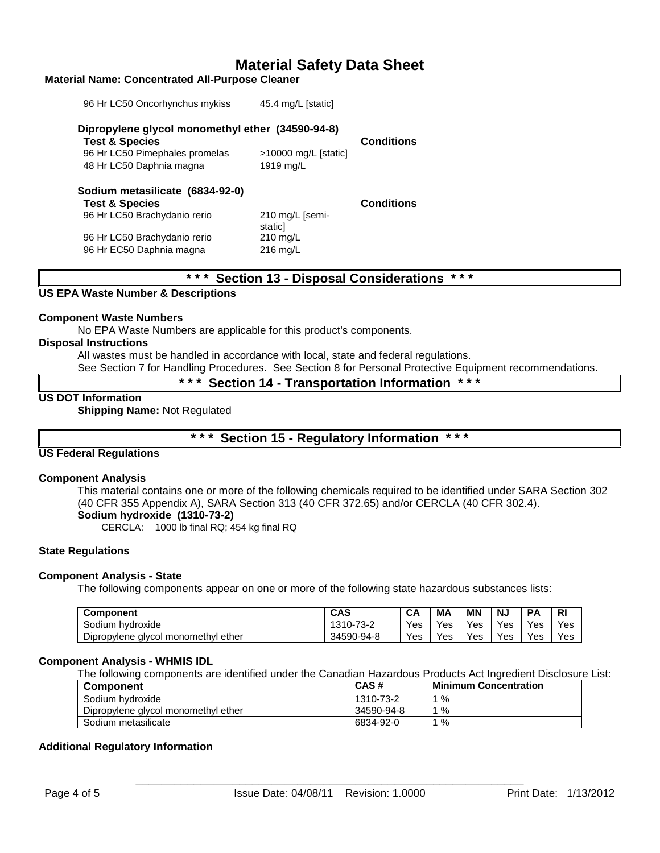### **Material Name: Concentrated All-Purpose Cleaner**

| 96 Hr LC50 Oncorhynchus mykiss                                                | 45.4 mg/L [static]         |                   |
|-------------------------------------------------------------------------------|----------------------------|-------------------|
| Dipropylene glycol monomethyl ether (34590-94-8)<br><b>Test &amp; Species</b> |                            | <b>Conditions</b> |
| 96 Hr LC50 Pimephales promelas                                                | $>10000$ mg/L [static]     |                   |
| 48 Hr LC50 Daphnia magna                                                      | 1919 mg/L                  |                   |
| Sodium metasilicate (6834-92-0)                                               |                            |                   |
| <b>Test &amp; Species</b>                                                     |                            | <b>Conditions</b> |
| 96 Hr LC50 Brachydanio rerio                                                  | 210 mg/L [semi-<br>staticl |                   |
| 96 Hr LC50 Brachydanio rerio                                                  | $210$ mg/L                 |                   |
| 96 Hr EC50 Daphnia magna                                                      | $216$ mg/L                 |                   |
|                                                                               |                            |                   |

## **\* \* \* Section 13 - Disposal Considerations \* \* \***

## **US EPA Waste Number & Descriptions**

#### **Component Waste Numbers**

No EPA Waste Numbers are applicable for this product's components.

#### **Disposal Instructions**

All wastes must be handled in accordance with local, state and federal regulations.

See Section 7 for Handling Procedures. See Section 8 for Personal Protective Equipment recommendations.

**\* \* \* Section 14 - Transportation Information \* \* \***

## **US DOT Information**

**Shipping Name:** Not Regulated

**\* \* \* Section 15 - Regulatory Information \* \* \***

## **US Federal Regulations**

#### **Component Analysis**

This material contains one or more of the following chemicals required to be identified under SARA Section 302 (40 CFR 355 Appendix A), SARA Section 313 (40 CFR 372.65) and/or CERCLA (40 CFR 302.4). **Sodium hydroxide (1310-73-2)**

CERCLA: 1000 lb final RQ; 454 kg final RQ

#### **State Regulations**

## **Component Analysis - State**

The following components appear on one or more of the following state hazardous substances lists:

| Component                              | <b>CAS</b> | CA  | МA  | ΜN  | NJ  | PΔ  | <b>RI</b> |
|----------------------------------------|------------|-----|-----|-----|-----|-----|-----------|
| Sodium<br>hvdroxide                    | 1310-73-2  | Yes | Yes | Yes | Yes | Yes | Yes       |
| Dipropylene glycol monomethyl<br>ether | 34590-94-8 | Yes | Yes | Yes | Yes | Yes | Yes       |

#### **Component Analysis - WHMIS IDL**

The following components are identified under the Canadian Hazardous Products Act Ingredient Disclosure List:

| <b>Component</b>                    | CAS#       | <b>Minimum Concentration</b> |
|-------------------------------------|------------|------------------------------|
| Sodium hydroxide                    | 1310-73-2  | %                            |
| Dipropylene glycol monomethyl ether | 34590-94-8 | %                            |
| Sodium metasilicate                 | 6834-92-0  | %                            |

## **Additional Regulatory Information**